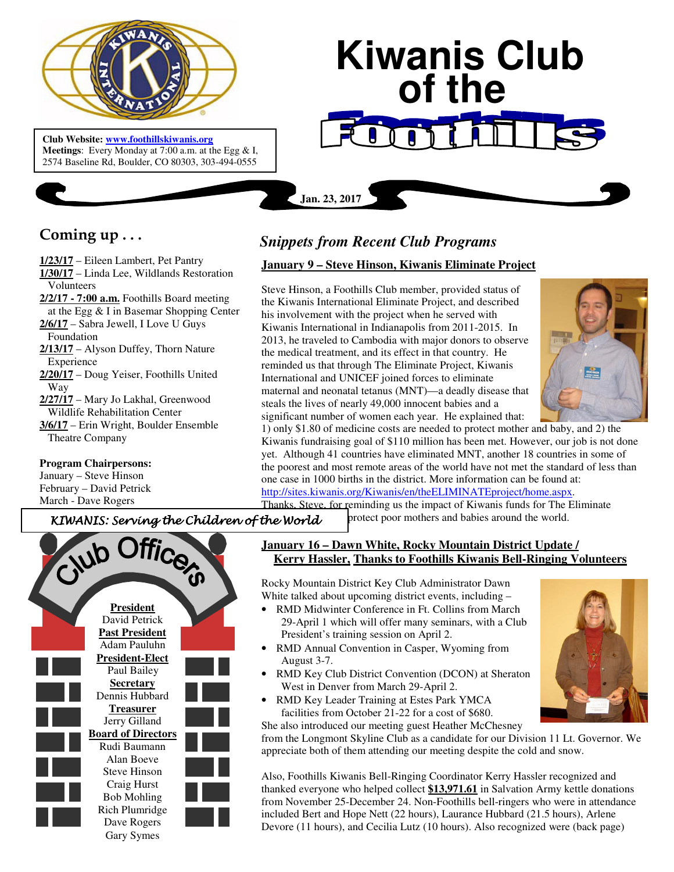

 **Meetings**: Every Monday at 7:00 a.m. at the Egg & I, **Club Website: www.foothillskiwanis.org** 2574 Baseline Rd, Boulder, CO 80303, 303-494-0555

# **Kiwanis Club of the**

**Coming up . . .** 

**1/23/17** – Eileen Lambert, Pet Pantry **1/30/17** – Linda Lee, Wildlands Restoration Volunteers **2/2/17 - 7:00 a.m.** Foothills Board meeting at the Egg & I in Basemar Shopping Center **2/6/17** – Sabra Jewell, I Love U Guys Foundation **2/13/17** – Alyson Duffey, Thorn Nature Experience **2/20/17** – Doug Yeiser, Foothills United Way **2/27/17** – Mary Jo Lakhal, Greenwood Wildlife Rehabilitation Center **3/6/17** – Erin Wright, Boulder Ensemble Theatre Company

## **Program Chairpersons:**

January – Steve Hinson February – David Petrick March - Dave Rogers



**Jan. 23, 2017**

# **January 9 – Steve Hinson, Kiwanis Eliminate Project**

Steve Hinson, a Foothills Club member, provided status of the Kiwanis International Eliminate Project, and described his involvement with the project when he served with Kiwanis International in Indianapolis from 2011-2015. In 2013, he traveled to Cambodia with major donors to observe the medical treatment, and its effect in that country. He reminded us that through The Eliminate Project, Kiwanis International and UNICEF joined forces to eliminate maternal and neonatal tetanus (MNT)—a deadly disease that steals the lives of nearly 49,000 innocent babies and a significant number of women each year. He explained that:



1) only \$1.80 of medicine costs are needed to protect mother and baby, and 2) the Kiwanis fundraising goal of \$110 million has been met. However, our job is not done yet. Although 41 countries have eliminated MNT, another 18 countries in some of the poorest and most remote areas of the world have not met the standard of less than one case in 1000 births in the district. More information can be found at: http://sites.kiwanis.org/Kiwanis/en/theELIMINATEproject/home.aspx.

protect poor mothers and babies around the world.

Thanks. Steve, for reminding us the impact of Kiwanis funds for The Eliminate

KIWANIS: Serving the Children of the World

Club Office **President**  David Petrick **Past President**  Adam Pauluhn **President-Elect**  Paul Bailey **Secretary**  Dennis Hubbard **Treasurer**  Jerry Gilland **Board of Directors**  Rudi Baumann Alan Boeve Steve Hinson Craig Hurst Bob Mohling Rich Plumridge Dave Rogers Gary Symes

## **January 16 – Dawn White, Rocky Mountain District Update / Kerry Hassler, Thanks to Foothills Kiwanis Bell-Ringing Volunteers**

Rocky Mountain District Key Club Administrator Dawn White talked about upcoming district events, including –

- RMD Midwinter Conference in Ft. Collins from March 29-April 1 which will offer many seminars, with a Club President's training session on April 2.
- RMD Annual Convention in Casper, Wyoming from August 3-7.
- RMD Key Club District Convention (DCON) at Sheraton West in Denver from March 29-April 2.
- RMD Key Leader Training at Estes Park YMCA facilities from October 21-22 for a cost of \$680. She also introduced our meeting guest Heather McChesney

from the Longmont Skyline Club as a candidate for our Division 11 Lt. Governor. We appreciate both of them attending our meeting despite the cold and snow.

Also, Foothills Kiwanis Bell-Ringing Coordinator Kerry Hassler recognized and thanked everyone who helped collect **\$13,971.61** in Salvation Army kettle donations from November 25-December 24. Non-Foothills bell-ringers who were in attendance included Bert and Hope Nett (22 hours), Laurance Hubbard (21.5 hours), Arlene Devore (11 hours), and Cecilia Lutz (10 hours). Also recognized were (back page)